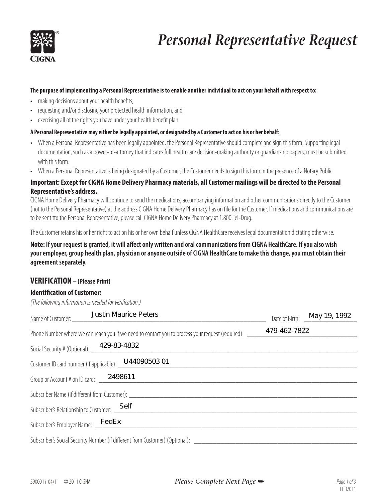

# *Personal Representative Request*

#### The purpose of implementing a Personal Representative is to enable another individual to act on your behalf with respect to:

- making decisions about your health benefits,
- requesting and/or disclosing your protected health information, and
- exercising all of the rights you have under your health benefit plan.

### **A Personal Representative may either be legally appointed, or designated by a Customer to act on his or her behalf:**

- When a Personal Representative has been legally appointed, the Personal Representative should complete and sign this form. Supporting legal documentation, such as a power-of-attorney that indicates full health care decision-making authority or guardianship papers, must be submitted with this form.
- When a Personal Representative is being designated by a Customer, the Customer needs to sign this form in the presence of a Notary Public.

### **Important: Except for CIGNA Home Delivery Pharmacy materials, all Customer mailings will be directed to the Personal Representative's address.**

CIGNA Home Delivery Pharmacy will continue to send the medications, accompanying information and other communications directly to the Customer (not to the Personal Representative) at the address CIGNA Home Delivery Pharmacy has on file for the Customer, If medications and communications are to be sent tto the Personal Representative, please call CIGNA Home Delivery Pharmacy at 1.800.Tel-Drug.

The Customer retains his or her right to act on his or her own behalf unless CIGNA HealthCare receives legal documentation dictating otherwise.

**Note: If your request is granted, it will affect only written and oral communications from CIGNA HealthCare. If you also wish your employer, group health plan, physician or anyone outside of CIGNA HealthCare to make this change, you must obtain their agreement separately.**

### **VERIFICATION – (Please Print)**

### **Identification of Customer:**

*(The following information is needed for verification.)*

| Name of Customer:                                                                                        | <b>Justin Maurice Peters</b>                                                 |              | Date of Birth: _ May 19, 1992 |
|----------------------------------------------------------------------------------------------------------|------------------------------------------------------------------------------|--------------|-------------------------------|
| Phone Number where we can reach you if we need to contact you to process your request (required): ______ |                                                                              | 479-462-7822 |                               |
|                                                                                                          | Social Security # (Optional): 429-83-4832                                    |              |                               |
|                                                                                                          | Customer ID card number (if applicable): _ U44090503 01                      |              |                               |
| Group or Account # on ID card: _____2498611                                                              |                                                                              |              |                               |
|                                                                                                          | Subscriber Name (if different from Customer): Subscriber 1                   |              |                               |
|                                                                                                          | Subscriber's Relationship to Customer: Self                                  |              |                               |
|                                                                                                          | Subscriber's Employer Name: FedEx                                            |              |                               |
|                                                                                                          | Subscriber's Social Security Number (if different from Customer) (Optional): |              |                               |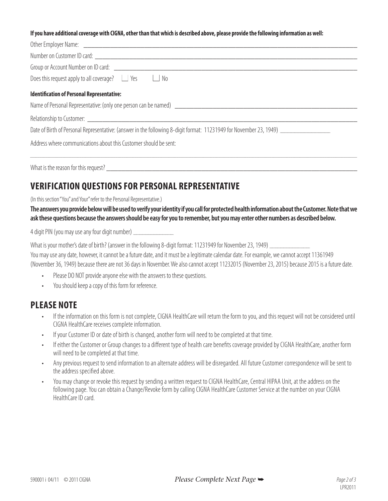#### **If you have additional coverage with CIGNA, other than that which is described above, please provide the following information as well:**

| Does this request apply to all coverage? $\Box$ Yes $\Box$ No    |
|------------------------------------------------------------------|
| <b>Identification of Personal Representative:</b>                |
|                                                                  |
|                                                                  |
|                                                                  |
| Address where communications about this Customer should be sent: |

What is the reason for this request?

### **VERIFICATION QUESTIONS FOR PERSONAL REPRESENTATIVE**

(In this section "You" and Your" refer to the Personal Representative.)

**The answers you provide below will be used to verify your identity if you call for protected health information about the Customer. Note that we ask these questions because the answers should be easy for you to remember, but you may enter other numbers as described below.**

4 digit PIN (you may use any four digit number)  $\equiv$ 

What is your mother's date of birth? (answer in the following 8-digit format: 11231949 for November 23, 1949) \_\_\_\_\_\_\_\_\_ You may use any date, however, it cannot be a future date, and it must be a legitimate calendar date. For example, we cannot accept 11361949 (November 36, 1949) because there are not 36 days in November. We also cannot accept 11232015 (November 23, 2015) because 2015 is a future date.

- Please DO NOT provide anyone else with the answers to these questions.
- You should keep a copy of this form for reference.

### **PLEASE NOTE**

- If the information on this form is not complete, CIGNA HealthCare will return the form to you, and this request will not be considered until CIGNA HealthCare receives complete information.
- If your Customer ID or date of birth is changed, another form will need to be completed at that time.
- If either the Customer or Group changes to a different type of health care benefits coverage provided by CIGNA HealthCare, another form will need to be completed at that time.
- Any previous request to send information to an alternate address will be disregarded. All future Customer correspondence will be sent to the address specified above.
- You may change or revoke this request by sending a written request to CIGNA HealthCare, Central HIPAA Unit, at the address on the following page. You can obtain a Change/Revoke form by calling CIGNA HealthCare Customer Service at the number on your CIGNA HealthCare ID card.